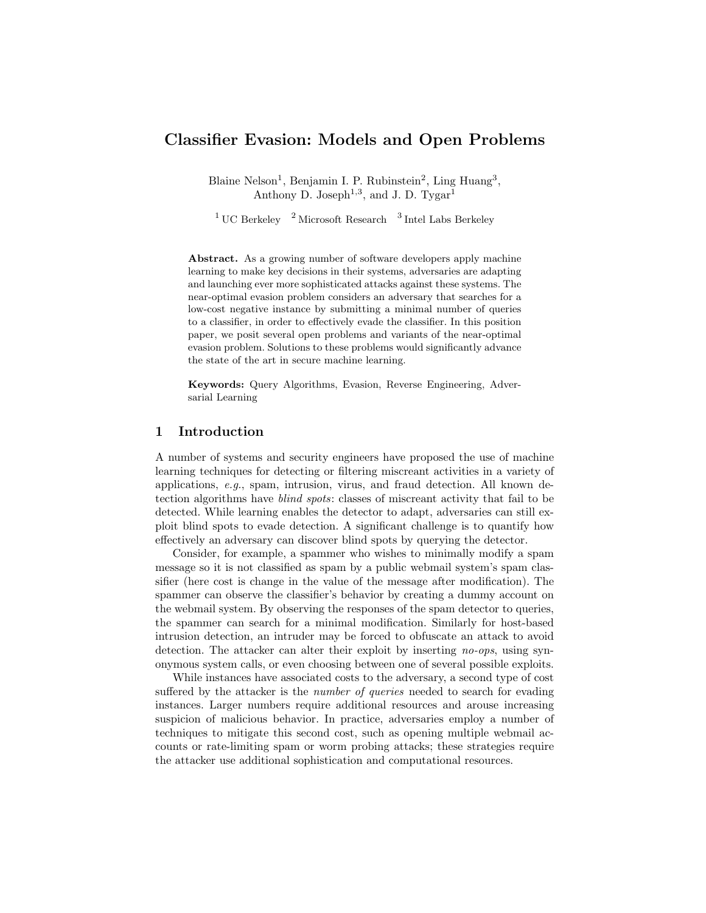# Classifier Evasion: Models and Open Problems

Blaine Nelson<sup>1</sup>, Benjamin I. P. Rubinstein<sup>2</sup>, Ling Huang<sup>3</sup>, Anthony D. Joseph<sup>1,3</sup>, and J. D. Tygar<sup>1</sup>

<sup>1</sup> UC Berkeley  $\frac{2 \text{ Microsoft Research}}{3}$  Intel Labs Berkeley

Abstract. As a growing number of software developers apply machine learning to make key decisions in their systems, adversaries are adapting and launching ever more sophisticated attacks against these systems. The near-optimal evasion problem considers an adversary that searches for a low-cost negative instance by submitting a minimal number of queries to a classifier, in order to effectively evade the classifier. In this position paper, we posit several open problems and variants of the near-optimal evasion problem. Solutions to these problems would significantly advance the state of the art in secure machine learning.

Keywords: Query Algorithms, Evasion, Reverse Engineering, Adversarial Learning

## 1 Introduction

A number of systems and security engineers have proposed the use of machine learning techniques for detecting or filtering miscreant activities in a variety of applications, e.g., spam, intrusion, virus, and fraud detection. All known detection algorithms have blind spots: classes of miscreant activity that fail to be detected. While learning enables the detector to adapt, adversaries can still exploit blind spots to evade detection. A significant challenge is to quantify how effectively an adversary can discover blind spots by querying the detector.

Consider, for example, a spammer who wishes to minimally modify a spam message so it is not classified as spam by a public webmail system's spam classifier (here cost is change in the value of the message after modification). The spammer can observe the classifier's behavior by creating a dummy account on the webmail system. By observing the responses of the spam detector to queries, the spammer can search for a minimal modification. Similarly for host-based intrusion detection, an intruder may be forced to obfuscate an attack to avoid detection. The attacker can alter their exploit by inserting no-ops, using synonymous system calls, or even choosing between one of several possible exploits.

While instances have associated costs to the adversary, a second type of cost suffered by the attacker is the *number of queries* needed to search for evading instances. Larger numbers require additional resources and arouse increasing suspicion of malicious behavior. In practice, adversaries employ a number of techniques to mitigate this second cost, such as opening multiple webmail accounts or rate-limiting spam or worm probing attacks; these strategies require the attacker use additional sophistication and computational resources.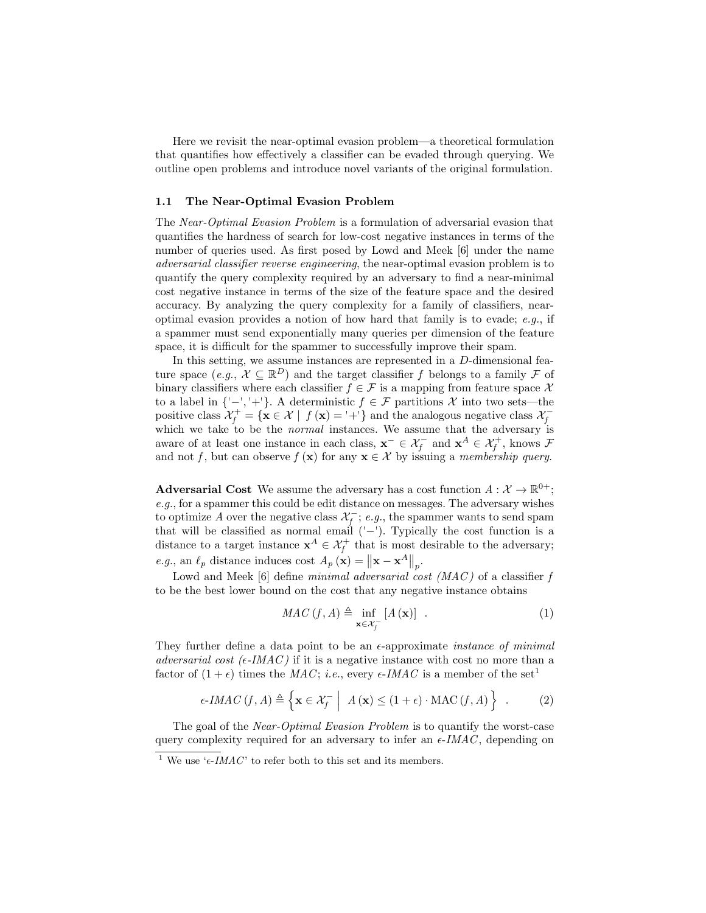Here we revisit the near-optimal evasion problem—a theoretical formulation that quantifies how effectively a classifier can be evaded through querying. We outline open problems and introduce novel variants of the original formulation.

#### 1.1 The Near-Optimal Evasion Problem

The Near-Optimal Evasion Problem is a formulation of adversarial evasion that quantifies the hardness of search for low-cost negative instances in terms of the number of queries used. As first posed by Lowd and Meek [6] under the name adversarial classifier reverse engineering, the near-optimal evasion problem is to quantify the query complexity required by an adversary to find a near-minimal cost negative instance in terms of the size of the feature space and the desired accuracy. By analyzing the query complexity for a family of classifiers, nearoptimal evasion provides a notion of how hard that family is to evade;  $e, q,$ , if a spammer must send exponentially many queries per dimension of the feature space, it is difficult for the spammer to successfully improve their spam.

In this setting, we assume instances are represented in a D-dimensional feature space  $(e.g., \mathcal{X} \subseteq \mathbb{R}^D)$  and the target classifier f belongs to a family F of binary classifiers where each classifier  $f \in \mathcal{F}$  is a mapping from feature space X to a label in  $\{-\}, +\}$ . A deterministic  $f \in \mathcal{F}$  partitions  $\mathcal{X}$  into two sets—the positive class  $\mathcal{X}_f^+ = \{ \mathbf{x} \in \mathcal{X} \mid f(\mathbf{x}) = \{+1\} \}$  and the analogous negative class  $\mathcal{X}_f^$ which we take to be the *normal* instances. We assume that the adversary is aware of at least one instance in each class,  $\mathbf{x}^- \in \mathcal{X}_f^-$  and  $\mathbf{x}^A \in \mathcal{X}_f^+$ , knows  $\mathcal{F}$ and not f, but can observe f  $(\mathbf{x})$  for any  $\mathbf{x} \in \mathcal{X}$  by issuing a *membership query.* 

**Adversarial Cost** We assume the adversary has a cost function  $A: \mathcal{X} \to \mathbb{R}^{0+}$ ; e.g., for a spammer this could be edit distance on messages. The adversary wishes to optimize A over the negative class  $\mathcal{X}^-_f$ ; e.g., the spammer wants to send spam that will be classified as normal email  $('-')$ . Typically the cost function is a distance to a target instance  $x^A \in \mathcal{X}_f^+$  that is most desirable to the adversary; *e.g.*, an  $\ell_p$  distance induces cost  $A_p(\mathbf{x}) = ||\mathbf{x} - \mathbf{x}^A||_p$ .

Lowd and Meek [6] define minimal adversarial cost  $(MAC)$  of a classifier f to be the best lower bound on the cost that any negative instance obtains

$$
MAC\left(f, A\right) \triangleq \inf_{\mathbf{x} \in \mathcal{X}_f^{-}} \left[A\left(\mathbf{x}\right)\right] \quad . \tag{1}
$$

They further define a data point to be an  $\epsilon$ -approximate *instance of minimal* adversarial cost ( $\epsilon$ -IMAC) if it is a negative instance with cost no more than a factor of  $(1 + \epsilon)$  times the MAC; *i.e.*, every  $\epsilon$ -IMAC is a member of the set<sup>1</sup>

$$
\epsilon\text{-}IMAC(f, A) \triangleq \left\{ \mathbf{x} \in \mathcal{X}_f^- \middle| A(\mathbf{x}) \le (1+\epsilon) \cdot \text{MAC}(f, A) \right\} \ . \tag{2}
$$

The goal of the Near-Optimal Evasion Problem is to quantify the worst-case query complexity required for an adversary to infer an  $\epsilon$ -*IMAC*, depending on

<sup>&</sup>lt;sup>1</sup> We use ' $\epsilon$ -IMAC' to refer both to this set and its members.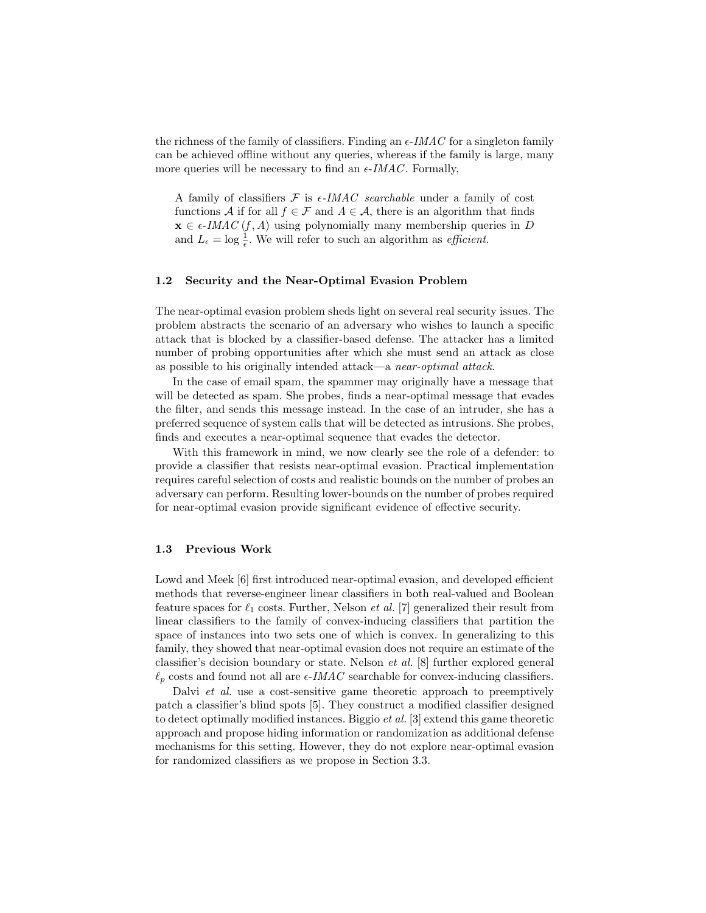the richness of the family of classifiers. Finding an  $\epsilon$ -*IMAC* for a singleton family can be achieved offline without any queries, whereas if the family is large, many more queries will be necessary to find an  $\epsilon$ -IMAC. Formally,

A family of classifiers  $\mathcal F$  is  $\epsilon$ -*IMAC searchable* under a family of cost functions A if for all  $f \in \mathcal{F}$  and  $A \in \mathcal{A}$ , there is an algorithm that finds  $\mathbf{x} \in \epsilon\text{-}IMAC(f, A)$  using polynomially many membership queries in D and  $L_{\epsilon} = \log \frac{1}{\epsilon}$ . We will refer to such an algorithm as *efficient*.

#### 1.2 Security and the Near-Optimal Evasion Problem

The near-optimal evasion problem sheds light on several real security issues. The problem abstracts the scenario of an adversary who wishes to launch a specific attack that is blocked by a classifier-based defense. The attacker has a limited number of probing opportunities after which she must send an attack as close as possible to his originally intended attack—a near-optimal attack.

In the case of email spam, the spammer may originally have a message that will be detected as spam. She probes, finds a near-optimal message that evades the filter, and sends this message instead. In the case of an intruder, she has a preferred sequence of system calls that will be detected as intrusions. She probes, finds and executes a near-optimal sequence that evades the detector.

With this framework in mind, we now clearly see the role of a defender: to provide a classifier that resists near-optimal evasion. Practical implementation requires careful selection of costs and realistic bounds on the number of probes an adversary can perform. Resulting lower-bounds on the number of probes required for near-optimal evasion provide significant evidence of effective security.

#### 1.3 Previous Work

Lowd and Meek [6] first introduced near-optimal evasion, and developed efficient methods that reverse-engineer linear classifiers in both real-valued and Boolean feature spaces for  $\ell_1$  costs. Further, Nelson *et al.* [7] generalized their result from linear classifiers to the family of convex-inducing classifiers that partition the space of instances into two sets one of which is convex. In generalizing to this family, they showed that near-optimal evasion does not require an estimate of the classifier's decision boundary or state. Nelson et al. [8] further explored general  $\ell_p$  costs and found not all are  $\epsilon$ -IMAC searchable for convex-inducing classifiers.

Dalvi et al. use a cost-sensitive game theoretic approach to preemptively patch a classifier's blind spots [5]. They construct a modified classifier designed to detect optimally modified instances. Biggio et al. [3] extend this game theoretic approach and propose hiding information or randomization as additional defense mechanisms for this setting. However, they do not explore near-optimal evasion for randomized classifiers as we propose in Section 3.3.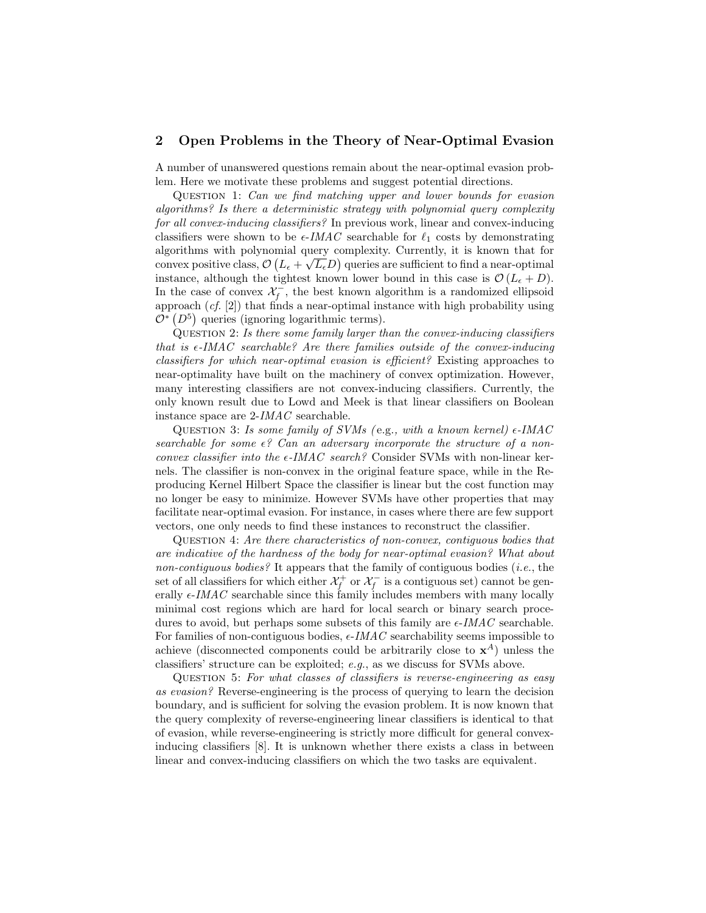### 2 Open Problems in the Theory of Near-Optimal Evasion

A number of unanswered questions remain about the near-optimal evasion problem. Here we motivate these problems and suggest potential directions.

Question 1: Can we find matching upper and lower bounds for evasion algorithms? Is there a deterministic strategy with polynomial query complexity for all convex-inducing classifiers? In previous work, linear and convex-inducing classifiers were shown to be  $\epsilon$ -*IMAC* searchable for  $\ell_1$  costs by demonstrating algorithms with polynomial query complexity. Currently, it is known that for convex positive class,  $\mathcal{O}\left(L_{\epsilon} + \sqrt{L_{\epsilon}}D\right)$  queries are sufficient to find a near-optimal instance, although the tightest known lower bound in this case is  $\mathcal{O}(L_{\epsilon}+D)$ . In the case of convex  $\mathcal{X}^-_f$ , the best known algorithm is a randomized ellipsoid approach (cf. [2]) that finds a near-optimal instance with high probability using  $\mathcal{O}^*(D^5)$  queries (ignoring logarithmic terms).

Question 2: Is there some family larger than the convex-inducing classifiers that is  $\epsilon$ -IMAC searchable? Are there families outside of the convex-inducing classifiers for which near-optimal evasion is efficient? Existing approaches to near-optimality have built on the machinery of convex optimization. However, many interesting classifiers are not convex-inducing classifiers. Currently, the only known result due to Lowd and Meek is that linear classifiers on Boolean instance space are 2-IMAC searchable.

QUESTION 3: Is some family of SVMs (e.g., with a known kernel)  $\epsilon$ -IMAC searchable for some  $\epsilon$ ? Can an adversary incorporate the structure of a nonconvex classifier into the  $\epsilon$ -IMAC search? Consider SVMs with non-linear kernels. The classifier is non-convex in the original feature space, while in the Reproducing Kernel Hilbert Space the classifier is linear but the cost function may no longer be easy to minimize. However SVMs have other properties that may facilitate near-optimal evasion. For instance, in cases where there are few support vectors, one only needs to find these instances to reconstruct the classifier.

Question 4: Are there characteristics of non-convex, contiguous bodies that are indicative of the hardness of the body for near-optimal evasion? What about non-contiguous bodies? It appears that the family of contiguous bodies (i.e., the set of all classifiers for which either  $\mathcal{X}^+_f$  or  $\mathcal{X}^-_f$  is a contiguous set) cannot be generally  $\epsilon$ -IMAC searchable since this family includes members with many locally minimal cost regions which are hard for local search or binary search procedures to avoid, but perhaps some subsets of this family are  $\epsilon$ -IMAC searchable. For families of non-contiguous bodies,  $\epsilon$ -IMAC searchability seems impossible to achieve (disconnected components could be arbitrarily close to  $x^A$ ) unless the classifiers' structure can be exploited; e.g., as we discuss for SVMs above.

Question 5: For what classes of classifiers is reverse-engineering as easy as evasion? Reverse-engineering is the process of querying to learn the decision boundary, and is sufficient for solving the evasion problem. It is now known that the query complexity of reverse-engineering linear classifiers is identical to that of evasion, while reverse-engineering is strictly more difficult for general convexinducing classifiers [8]. It is unknown whether there exists a class in between linear and convex-inducing classifiers on which the two tasks are equivalent.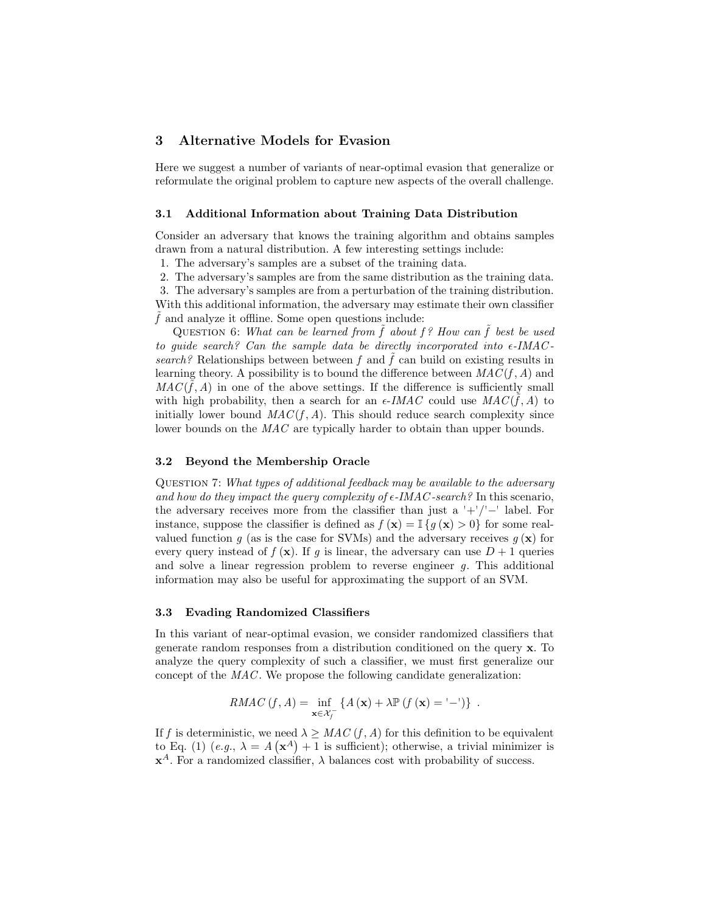## 3 Alternative Models for Evasion

Here we suggest a number of variants of near-optimal evasion that generalize or reformulate the original problem to capture new aspects of the overall challenge.

#### 3.1 Additional Information about Training Data Distribution

Consider an adversary that knows the training algorithm and obtains samples drawn from a natural distribution. A few interesting settings include:

1. The adversary's samples are a subset of the training data.

2. The adversary's samples are from the same distribution as the training data.

3. The adversary's samples are from a perturbation of the training distribution. With this additional information, the adversary may estimate their own classifier f and analyze it offline. Some open questions include:

QUESTION 6: What can be learned from  $\tilde{f}$  about  $f$ ? How can  $\tilde{f}$  best be used to guide search? Can the sample data be directly incorporated into  $\epsilon$ -IMACsearch? Relationships between between f and  $\tilde{f}$  can build on existing results in learning theory. A possibility is to bound the difference between  $MAC(f, A)$  and  $MAC(\tilde{f}, A)$  in one of the above settings. If the difference is sufficiently small with high probability, then a search for an  $\epsilon$ -IMAC could use  $MAC(\tilde{f}, A)$  to initially lower bound  $MAC(f, A)$ . This should reduce search complexity since lower bounds on the MAC are typically harder to obtain than upper bounds.

#### 3.2 Beyond the Membership Oracle

Question 7: What types of additional feedback may be available to the adversary and how do they impact the query complexity of  $\epsilon$ -IMAC-search? In this scenario, the adversary receives more from the classifier than just a '+'/'−' label. For instance, suppose the classifier is defined as  $f(\mathbf{x}) = \mathbb{I}\{g(\mathbf{x}) > 0\}$  for some realvalued function g (as is the case for SVMs) and the adversary receives  $g(\mathbf{x})$  for every query instead of  $f(\mathbf{x})$ . If g is linear, the adversary can use  $D+1$  queries and solve a linear regression problem to reverse engineer  $q$ . This additional information may also be useful for approximating the support of an SVM.

## 3.3 Evading Randomized Classifiers

In this variant of near-optimal evasion, we consider randomized classifiers that generate random responses from a distribution conditioned on the query x. To analyze the query complexity of such a classifier, we must first generalize our concept of the  $MAC$ . We propose the following candidate generalization:

$$
RMAC (f, A) = \inf_{\mathbf{x} \in \mathcal{X}_f^-} \left\{ A(\mathbf{x}) + \lambda \mathbb{P} \left( f(\mathbf{x}) = \{-\}\right) \right\} .
$$

If f is deterministic, we need  $\lambda \geq MAC(f, A)$  for this definition to be equivalent to Eq. (1)  $(e.g., \lambda = A(\mathbf{x}^A) + 1$  is sufficient); otherwise, a trivial minimizer is  $\mathbf{x}^A$ . For a randomized classifier,  $\lambda$  balances cost with probability of success.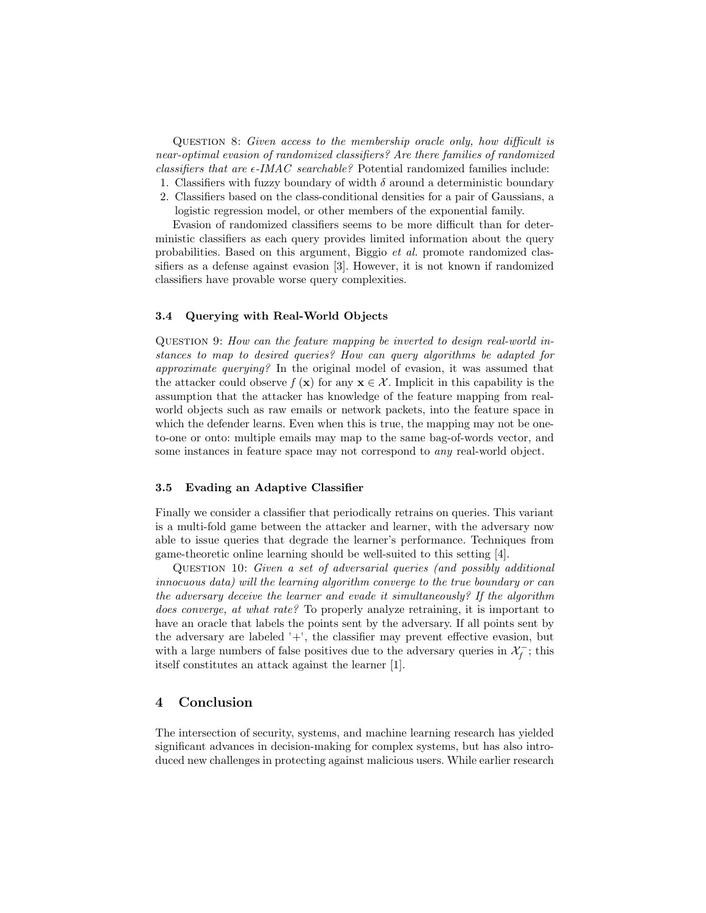Question 8: Given access to the membership oracle only, how difficult is near-optimal evasion of randomized classifiers? Are there families of randomized classifiers that are  $\epsilon$ -IMAC searchable? Potential randomized families include: 1. Classifiers with fuzzy boundary of width  $\delta$  around a deterministic boundary

- 2. Classifiers based on the class-conditional densities for a pair of Gaussians, a
- logistic regression model, or other members of the exponential family.

Evasion of randomized classifiers seems to be more difficult than for deterministic classifiers as each query provides limited information about the query probabilities. Based on this argument, Biggio et al. promote randomized classifiers as a defense against evasion [3]. However, it is not known if randomized classifiers have provable worse query complexities.

#### 3.4 Querying with Real-World Objects

Question 9: How can the feature mapping be inverted to design real-world instances to map to desired queries? How can query algorithms be adapted for approximate querying? In the original model of evasion, it was assumed that the attacker could observe  $f(\mathbf{x})$  for any  $\mathbf{x} \in \mathcal{X}$ . Implicit in this capability is the assumption that the attacker has knowledge of the feature mapping from realworld objects such as raw emails or network packets, into the feature space in which the defender learns. Even when this is true, the mapping may not be oneto-one or onto: multiple emails may map to the same bag-of-words vector, and some instances in feature space may not correspond to any real-world object.

#### 3.5 Evading an Adaptive Classifier

Finally we consider a classifier that periodically retrains on queries. This variant is a multi-fold game between the attacker and learner, with the adversary now able to issue queries that degrade the learner's performance. Techniques from game-theoretic online learning should be well-suited to this setting [4].

Question 10: Given a set of adversarial queries (and possibly additional innocuous data) will the learning algorithm converge to the true boundary or can the adversary deceive the learner and evade it simultaneously? If the algorithm does converge, at what rate? To properly analyze retraining, it is important to have an oracle that labels the points sent by the adversary. If all points sent by the adversary are labeled  $'+$ , the classifier may prevent effective evasion, but with a large numbers of false positives due to the adversary queries in  $\mathcal{X}^-_f$ ; this itself constitutes an attack against the learner [1].

## 4 Conclusion

The intersection of security, systems, and machine learning research has yielded significant advances in decision-making for complex systems, but has also introduced new challenges in protecting against malicious users. While earlier research